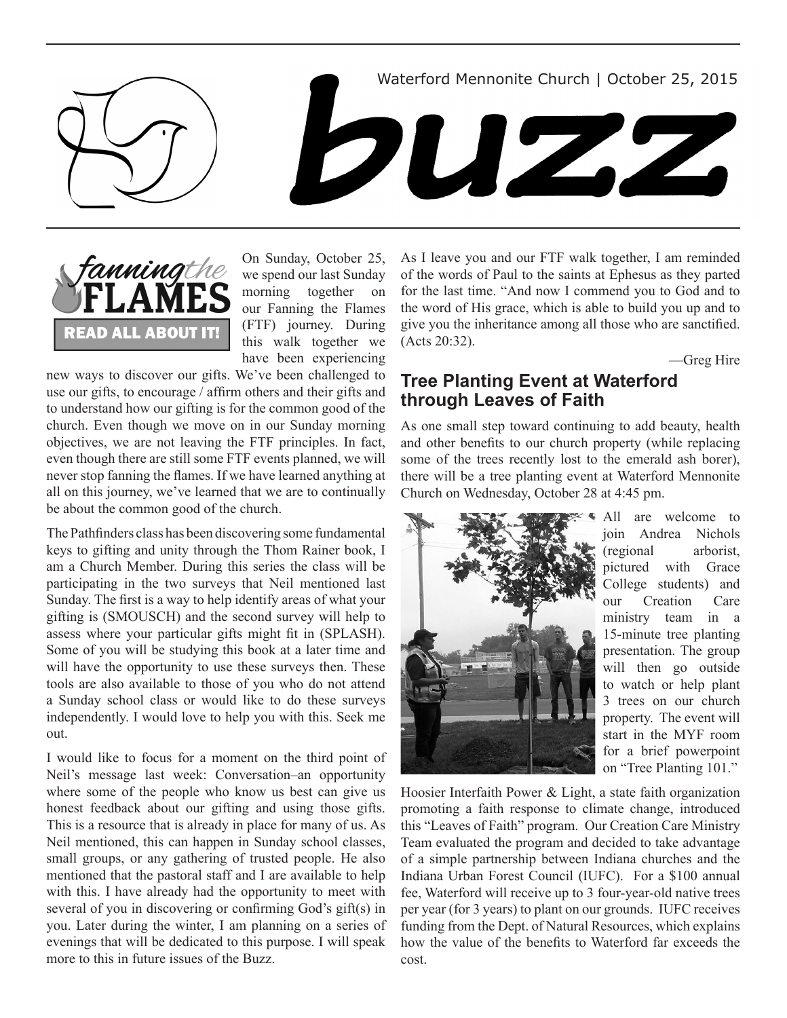Waterford Mennonite Church | October 25, 2015







On Sunday, October 25, we spend our last Sunday morning together on our Fanning the Flames (FTF) journey. During this walk together we have been experiencing

new ways to discover our gifts. We've been challenged to use our gifts, to encourage / affirm others and their gifts and to understand how our gifting is for the common good of the church. Even though we move on in our Sunday morning objectives, we are not leaving the FTF principles. In fact, even though there are still some FTF events planned, we will never stop fanning the flames. If we have learned anything at all on this journey, we've learned that we are to continually be about the common good of the church.

The Pathfinders class has been discovering some fundamental keys to gifting and unity through the Thom Rainer book, I am a Church Member. During this series the class will be participating in the two surveys that Neil mentioned last Sunday. The first is a way to help identify areas of what your gifting is (SMOUSCH) and the second survey will help to assess where your particular gifts might fit in (SPLASH). Some of you will be studying this book at a later time and will have the opportunity to use these surveys then. These tools are also available to those of you who do not attend a Sunday school class or would like to do these surveys independently. I would love to help you with this. Seek me out.

I would like to focus for a moment on the third point of Neil's message last week: Conversation–an opportunity where some of the people who know us best can give us honest feedback about our gifting and using those gifts. This is a resource that is already in place for many of us. As Neil mentioned, this can happen in Sunday school classes, small groups, or any gathering of trusted people. He also mentioned that the pastoral staff and I are available to help with this. I have already had the opportunity to meet with several of you in discovering or confirming God's gift(s) in you. Later during the winter, I am planning on a series of evenings that will be dedicated to this purpose. I will speak more to this in future issues of the Buzz.

As I leave you and our FTF walk together, I am reminded of the words of Paul to the saints at Ephesus as they parted for the last time. "And now I commend you to God and to the word of His grace, which is able to build you up and to give you the inheritance among all those who are sanctified. (Acts 20:32).

—Greg Hire

## **Tree Planting Event at Waterford through Leaves of Faith**

As one small step toward continuing to add beauty, health and other benefits to our church property (while replacing some of the trees recently lost to the emerald ash borer), there will be a tree planting event at Waterford Mennonite Church on Wednesday, October 28 at 4:45 pm.



All are welcome to join Andrea Nichols (regional arborist, pictured with Grace College students) and our Creation Care ministry team in a 15-minute tree planting presentation. The group will then go outside to watch or help plant 3 trees on our church property. The event will start in the MYF room for a brief powerpoint on "Tree Planting 101."

Hoosier Interfaith Power & Light, a state faith organization promoting a faith response to climate change, introduced this "Leaves of Faith" program. Our Creation Care Ministry Team evaluated the program and decided to take advantage of a simple partnership between Indiana churches and the Indiana Urban Forest Council (IUFC). For a \$100 annual fee, Waterford will receive up to 3 four-year-old native trees per year (for 3 years) to plant on our grounds. IUFC receives funding from the Dept. of Natural Resources, which explains how the value of the benefits to Waterford far exceeds the cost.